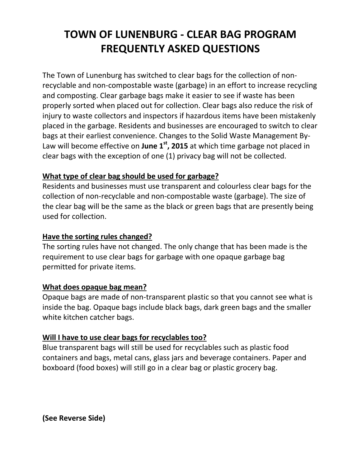# **TOWN OF LUNENBURG - CLEAR BAG PROGRAM FREQUENTLY ASKED QUESTIONS**

The Town of Lunenburg has switched to clear bags for the collection of nonrecyclable and non-compostable waste (garbage) in an effort to increase recycling and composting. Clear garbage bags make it easier to see if waste has been properly sorted when placed out for collection. Clear bags also reduce the risk of injury to waste collectors and inspectors if hazardous items have been mistakenly placed in the garbage. Residents and businesses are encouraged to switch to clear bags at their earliest convenience. Changes to the Solid Waste Management By-Law will become effective on **June 1st, 2015** at which time garbage not placed in clear bags with the exception of one (1) privacy bag will not be collected.

## **What type of clear bag should be used for garbage?**

Residents and businesses must use transparent and colourless clear bags for the collection of non-recyclable and non-compostable waste (garbage). The size of the clear bag will be the same as the black or green bags that are presently being used for collection.

## **Have the sorting rules changed?**

The sorting rules have not changed. The only change that has been made is the requirement to use clear bags for garbage with one opaque garbage bag permitted for private items.

## **What does opaque bag mean?**

Opaque bags are made of non-transparent plastic so that you cannot see what is inside the bag. Opaque bags include black bags, dark green bags and the smaller white kitchen catcher bags.

## **Will I have to use clear bags for recyclables too?**

Blue transparent bags will still be used for recyclables such as plastic food containers and bags, metal cans, glass jars and beverage containers. Paper and boxboard (food boxes) will still go in a clear bag or plastic grocery bag.

**(See Reverse Side)**